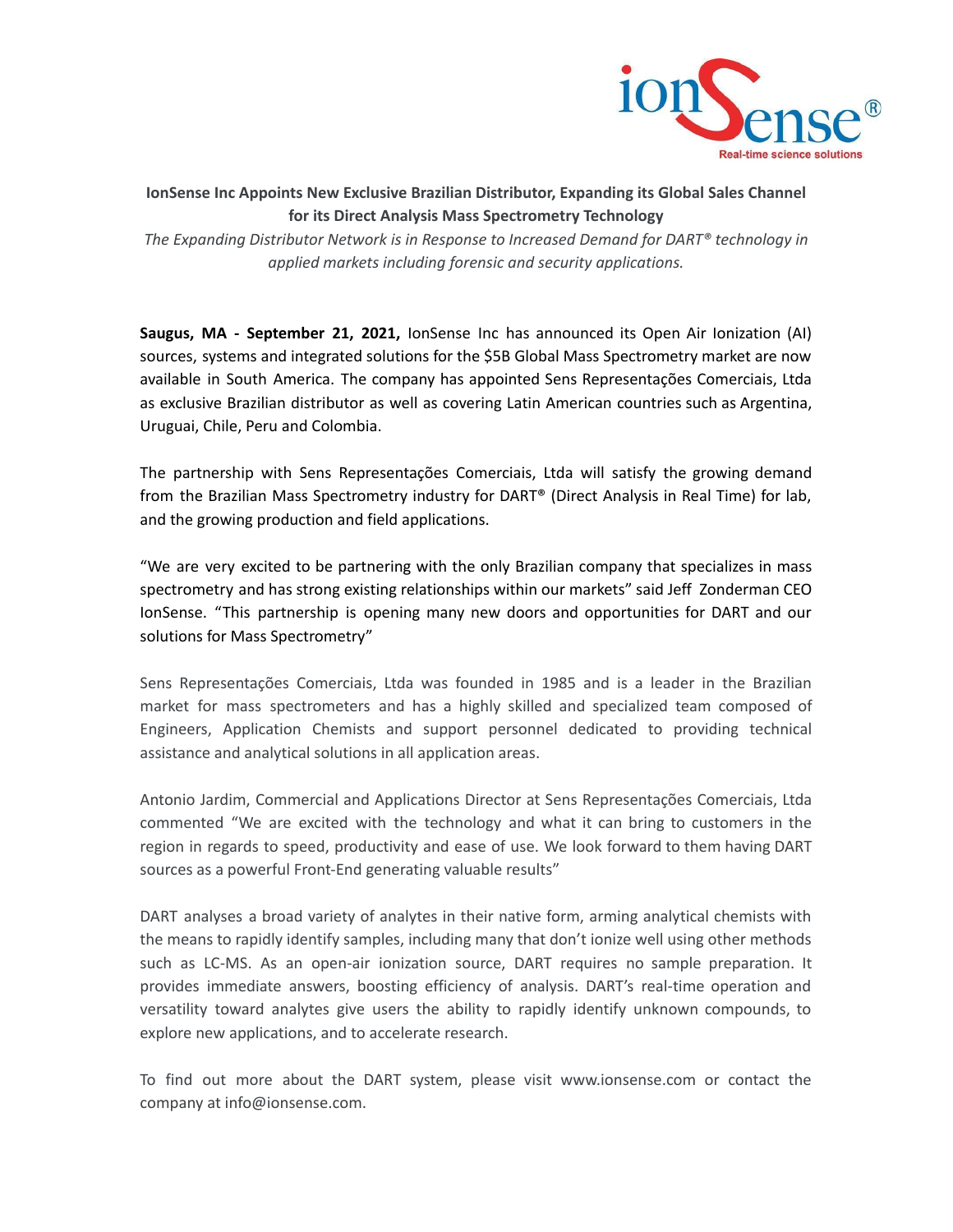

## **IonSense Inc Appoints New Exclusive Brazilian Distributor, Expanding its Global Sales Channel for its Direct Analysis Mass Spectrometry Technology**

*The Expanding Distributor Network is in Response to Increased Demand for DART® technology in applied markets including forensic and security applications.*

**Saugus, MA - September 21, 2021,** IonSense Inc has announced its Open Air Ionization (AI) sources, systems and integrated solutions for the \$5B Global Mass Spectrometry market are now available in South America. The company has appointed Sens Representações Comerciais, Ltda as exclusive Brazilian distributor as well as covering Latin American countries such as Argentina, Uruguai, Chile, Peru and Colombia.

The partnership with Sens Representações Comerciais, Ltda will satisfy the growing demand from the Brazilian Mass Spectrometry industry for DART® (Direct Analysis in Real Time) for lab, and the growing production and field applications.

"We are very excited to be partnering with the only Brazilian company that specializes in mass spectrometry and has strong existing relationships within our markets" said Jeff Zonderman CEO IonSense. "This partnership is opening many new doors and opportunities for DART and our solutions for Mass Spectrometry"

Sens Representações Comerciais, Ltda was founded in 1985 and is a leader in the Brazilian market for mass spectrometers and has a highly skilled and specialized team composed of Engineers, Application Chemists and support personnel dedicated to providing technical assistance and analytical solutions in all application areas.

Antonio Jardim, Commercial and Applications Director at Sens Representações Comerciais, Ltda commented "We are excited with the technology and what it can bring to customers in the region in regards to speed, productivity and ease of use. We look forward to them having DART sources as a powerful Front-End generating valuable results"

DART analyses a broad variety of analytes in their native form, arming analytical chemists with the means to rapidly identify samples, including many that don't ionize well using other methods such as LC-MS. As an open-air ionization source, DART requires no sample preparation. It provides immediate answers, boosting efficiency of analysis. DART's real-time operation and versatility toward analytes give users the ability to rapidly identify unknown compounds, to explore new applications, and to accelerate research.

To find out more about the DART system, please visit www.ionsense.com or contact the company at info@ionsense.com.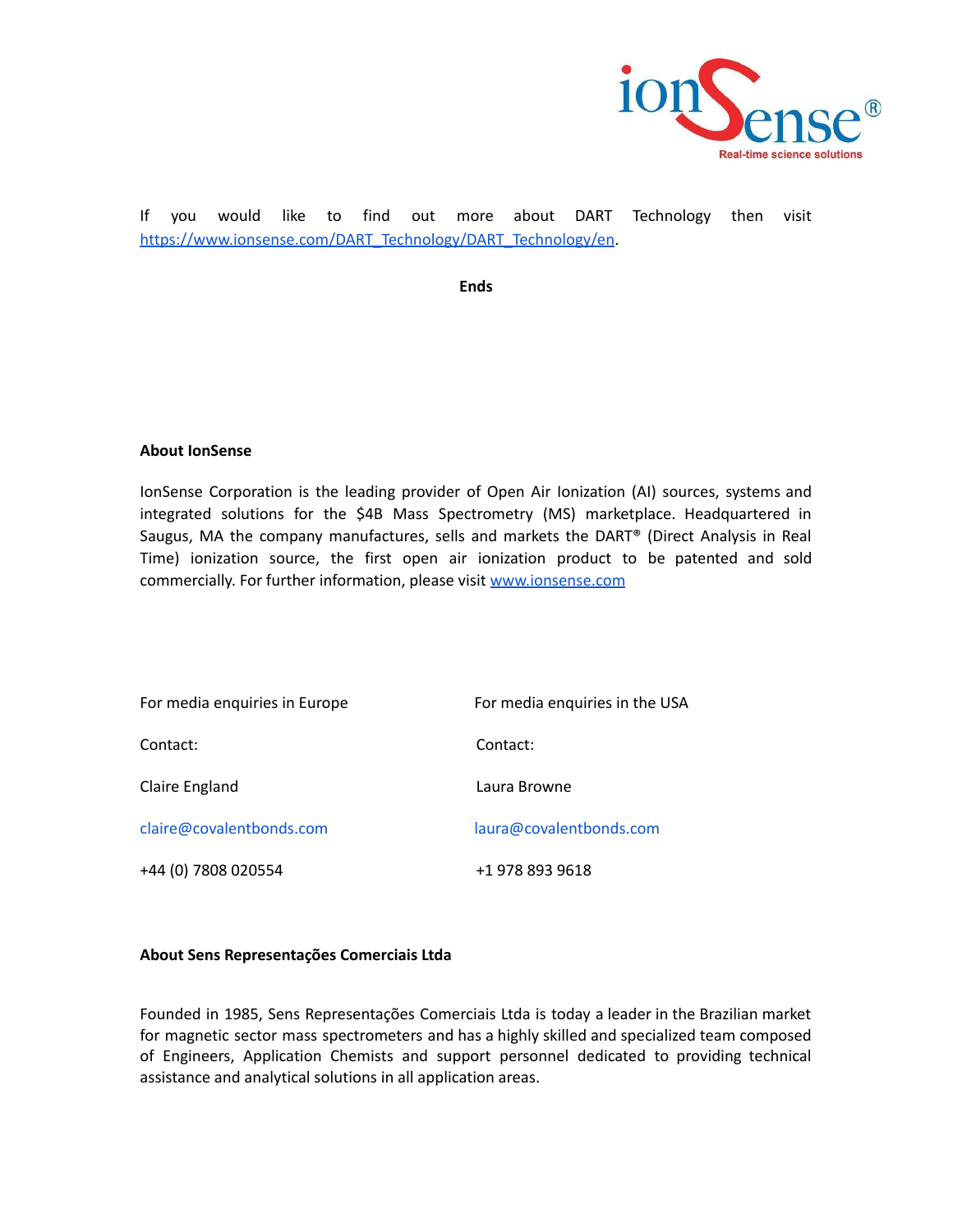

If you would like to find out more about DART Technology then visit [https://www.ionsense.com/DART\\_Technology/DART\\_Technology/en](https://www.ionsense.com/DART_Technology/DART_Technology/en).

**Ends**

## **About IonSense**

IonSense Corporation is the leading provider of Open Air Ionization (AI) sources, systems and integrated solutions for the \$4B Mass Spectrometry (MS) marketplace. Headquartered in Saugus, MA the company manufactures, sells and markets the DART® (Direct Analysis in Real Time) ionization source, the first open air ionization product to be patented and sold commercially. For fur[t](http://www.redshiftbio.com?&utm_campaign=general&utm_source=SS&utm_medium=email&utm_content=LP)her information, please visit [www.ionsense.com](http://www.ionsense.com)

| For media enquiries in Europe | For media enquiries in the USA |
|-------------------------------|--------------------------------|
| Contact:                      | Contact:                       |
| Claire England                | Laura Browne                   |
| claire@covalentbonds.com      | laura@covalentbonds.com        |
| +44 (0) 7808 020554           | +1 978 893 9618                |

## **About Sens Representações Comerciais Ltda**

Founded in 1985, Sens Representações Comerciais Ltda is today a leader in the Brazilian market for magnetic sector mass spectrometers and has a highly skilled and specialized team composed of Engineers, Application Chemists and support personnel dedicated to providing technical assistance and analytical solutions in all application areas.